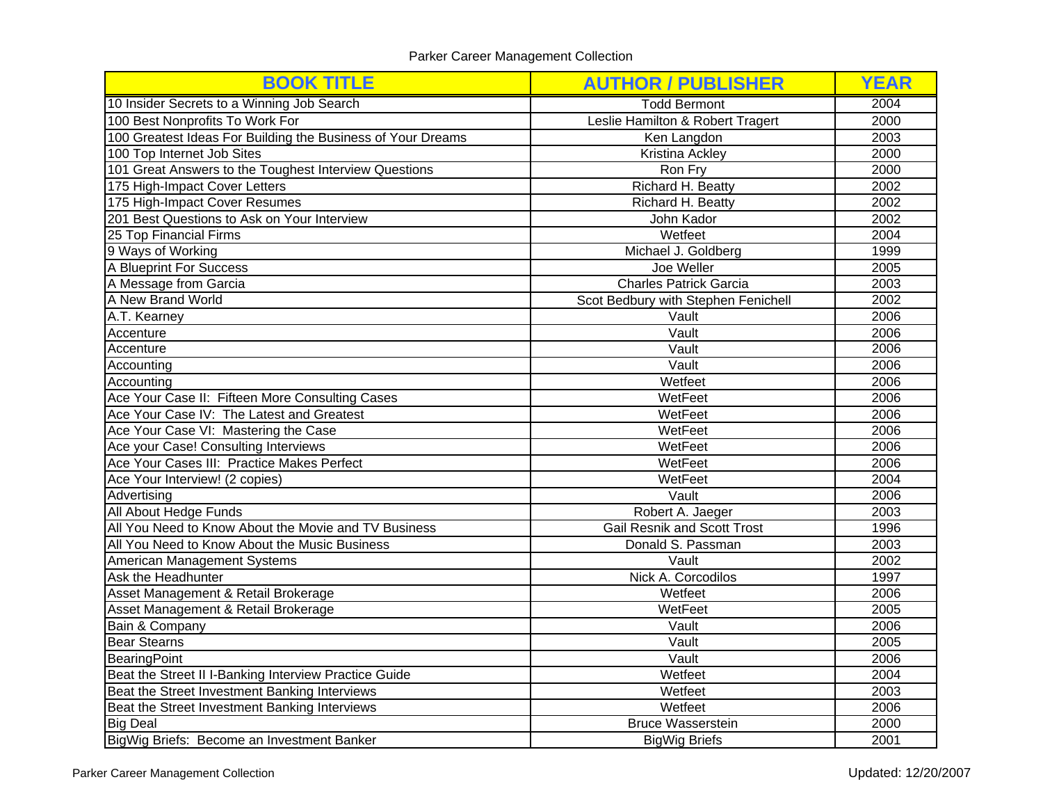| <b>BOOK TITLE</b>                                           | <b>AUTHOR / PUBLISHER</b>           | <b>YEAR</b> |
|-------------------------------------------------------------|-------------------------------------|-------------|
| 10 Insider Secrets to a Winning Job Search                  | <b>Todd Bermont</b>                 | 2004        |
| 100 Best Nonprofits To Work For                             | Leslie Hamilton & Robert Tragert    | 2000        |
| 100 Greatest Ideas For Building the Business of Your Dreams | Ken Langdon                         | 2003        |
| 100 Top Internet Job Sites                                  | Kristina Ackley                     | 2000        |
| 101 Great Answers to the Toughest Interview Questions       | Ron Fry                             | 2000        |
| 175 High-Impact Cover Letters                               | Richard H. Beatty                   | 2002        |
| 175 High-Impact Cover Resumes                               | Richard H. Beatty                   | 2002        |
| 201 Best Questions to Ask on Your Interview                 | John Kador                          | 2002        |
| 25 Top Financial Firms                                      | Wetfeet                             | 2004        |
| 9 Ways of Working                                           | Michael J. Goldberg                 | 1999        |
| <b>A Blueprint For Success</b>                              | Joe Weller                          | 2005        |
| A Message from Garcia                                       | <b>Charles Patrick Garcia</b>       | 2003        |
| A New Brand World                                           | Scot Bedbury with Stephen Fenichell | 2002        |
| A.T. Kearney                                                | Vault                               | 2006        |
| Accenture                                                   | Vault                               | 2006        |
| Accenture                                                   | Vault                               | 2006        |
| Accounting                                                  | Vault                               | 2006        |
| Accounting                                                  | Wetfeet                             | 2006        |
| Ace Your Case II: Fifteen More Consulting Cases             | WetFeet                             | 2006        |
| Ace Your Case IV: The Latest and Greatest                   | WetFeet                             | 2006        |
| Ace Your Case VI: Mastering the Case                        | WetFeet                             |             |
| Ace your Case! Consulting Interviews                        | WetFeet                             | 2006        |
| Ace Your Cases III: Practice Makes Perfect                  | WetFeet                             |             |
| Ace Your Interview! (2 copies)                              | WetFeet                             |             |
| Advertising                                                 | Vault                               |             |
| All About Hedge Funds                                       | Robert A. Jaeger                    | 2003        |
| All You Need to Know About the Movie and TV Business        | <b>Gail Resnik and Scott Trost</b>  | 1996        |
| All You Need to Know About the Music Business               | Donald S. Passman                   | 2003        |
| American Management Systems                                 | Vault                               | 2002        |
| Ask the Headhunter                                          | Nick A. Corcodilos                  | 1997        |
| Asset Management & Retail Brokerage                         | Wetfeet                             | 2006        |
| Asset Management & Retail Brokerage                         | WetFeet                             | 2005        |
| Bain & Company                                              | Vault                               | 2006        |
| <b>Bear Stearns</b>                                         | Vault                               | 2005        |
| BearingPoint                                                | Vault                               | 2006        |
| Beat the Street II I-Banking Interview Practice Guide       | Wetfeet                             | 2004        |
| Beat the Street Investment Banking Interviews               | Wetfeet                             | 2003        |
| Beat the Street Investment Banking Interviews               | Wetfeet                             | 2006        |
| <b>Big Deal</b>                                             | <b>Bruce Wasserstein</b>            | 2000        |
| BigWig Briefs: Become an Investment Banker                  | <b>BigWig Briefs</b>                | 2001        |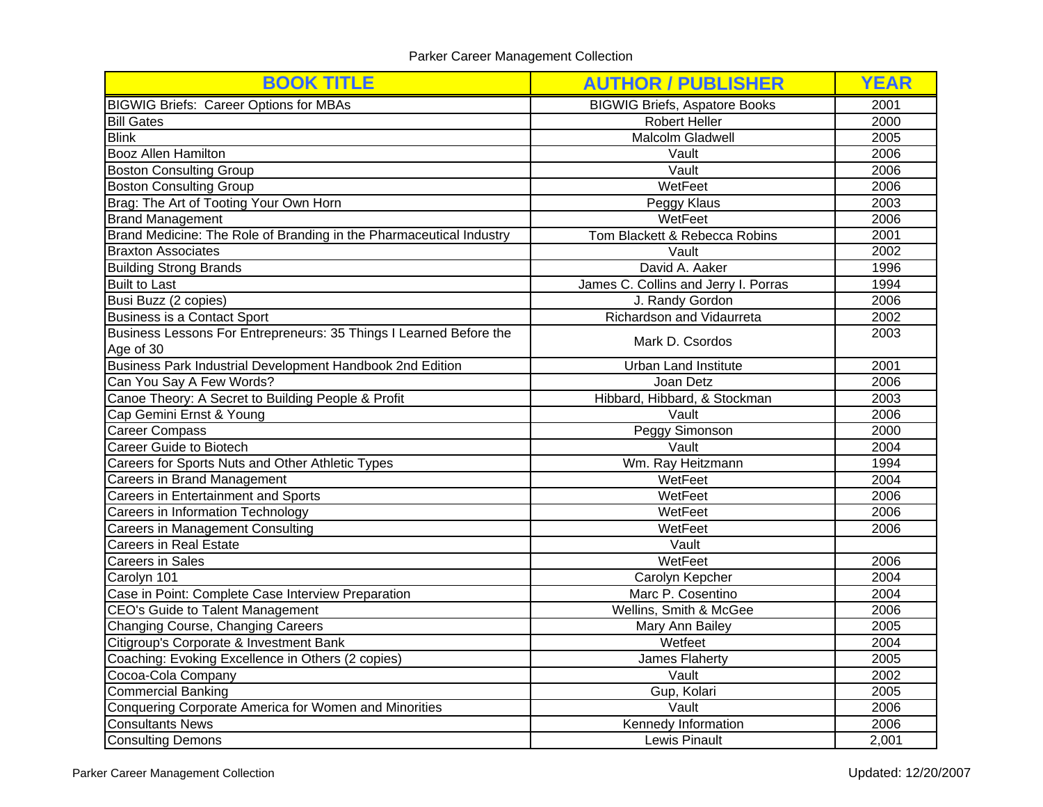| <b>BOOK TITLE</b>                                                   | <b>AUTHOR / PUBLISHER</b>            | <b>YEAR</b>  |
|---------------------------------------------------------------------|--------------------------------------|--------------|
| <b>BIGWIG Briefs: Career Options for MBAs</b>                       | <b>BIGWIG Briefs, Aspatore Books</b> | 2001         |
| <b>Bill Gates</b>                                                   | <b>Robert Heller</b>                 | 2000         |
| <b>Blink</b>                                                        | Malcolm Gladwell                     | 2005         |
| <b>Booz Allen Hamilton</b>                                          | Vault                                | 2006         |
| <b>Boston Consulting Group</b>                                      | Vault                                | 2006         |
| <b>Boston Consulting Group</b>                                      | WetFeet                              | 2006         |
| Brag: The Art of Tooting Your Own Horn                              | Peggy Klaus                          | 2003         |
| <b>Brand Management</b>                                             | WetFeet                              | 2006         |
| Brand Medicine: The Role of Branding in the Pharmaceutical Industry | Tom Blackett & Rebecca Robins        | 2001         |
| <b>Braxton Associates</b>                                           | Vault                                | 2002         |
| <b>Building Strong Brands</b>                                       | David A. Aaker                       | 1996         |
| <b>Built to Last</b>                                                | James C. Collins and Jerry I. Porras | 1994         |
| Busi Buzz (2 copies)                                                | J. Randy Gordon                      | 2006         |
| Business is a Contact Sport                                         | Richardson and Vidaurreta            | 2002         |
| Business Lessons For Entrepreneurs: 35 Things I Learned Before the  | Mark D. Csordos                      | 2003         |
| Age of 30                                                           |                                      | 2001         |
| Business Park Industrial Development Handbook 2nd Edition           | <b>Urban Land Institute</b>          |              |
| Can You Say A Few Words?                                            | Joan Detz                            |              |
| Canoe Theory: A Secret to Building People & Profit                  | Hibbard, Hibbard, & Stockman         |              |
| Cap Gemini Ernst & Young<br>Vault                                   |                                      | 2006<br>2000 |
| <b>Career Compass</b>                                               | Peggy Simonson                       |              |
| Career Guide to Biotech                                             | Vault                                |              |
| Careers for Sports Nuts and Other Athletic Types                    | Wm. Ray Heitzmann                    |              |
| Careers in Brand Management                                         | WetFeet<br>2004                      |              |
| Careers in Entertainment and Sports                                 | WetFeet                              |              |
| Careers in Information Technology                                   | WetFeet                              | 2006         |
| <b>Careers in Management Consulting</b>                             | WetFeet                              | 2006         |
| <b>Careers in Real Estate</b>                                       | Vault                                |              |
| <b>Careers in Sales</b>                                             | WetFeet                              | 2006         |
| Carolyn 101                                                         | Carolyn Kepcher                      | 2004         |
| Case in Point: Complete Case Interview Preparation                  | Marc P. Cosentino                    | 2004         |
| CEO's Guide to Talent Management                                    | Wellins, Smith & McGee               |              |
| Changing Course, Changing Careers                                   | Mary Ann Bailey                      | 2005         |
| Citigroup's Corporate & Investment Bank                             | Wetfeet<br>2004                      |              |
| Coaching: Evoking Excellence in Others (2 copies)                   | James Flaherty                       | 2005         |
| Cocoa-Cola Company                                                  | Vault                                | 2002         |
| Commercial Banking                                                  | Gup, Kolari                          | 2005         |
| Conquering Corporate America for Women and Minorities               | Vault                                | 2006         |
| <b>Consultants News</b>                                             | Kennedy Information                  | 2006         |
| <b>Consulting Demons</b>                                            | Lewis Pinault                        | 2,001        |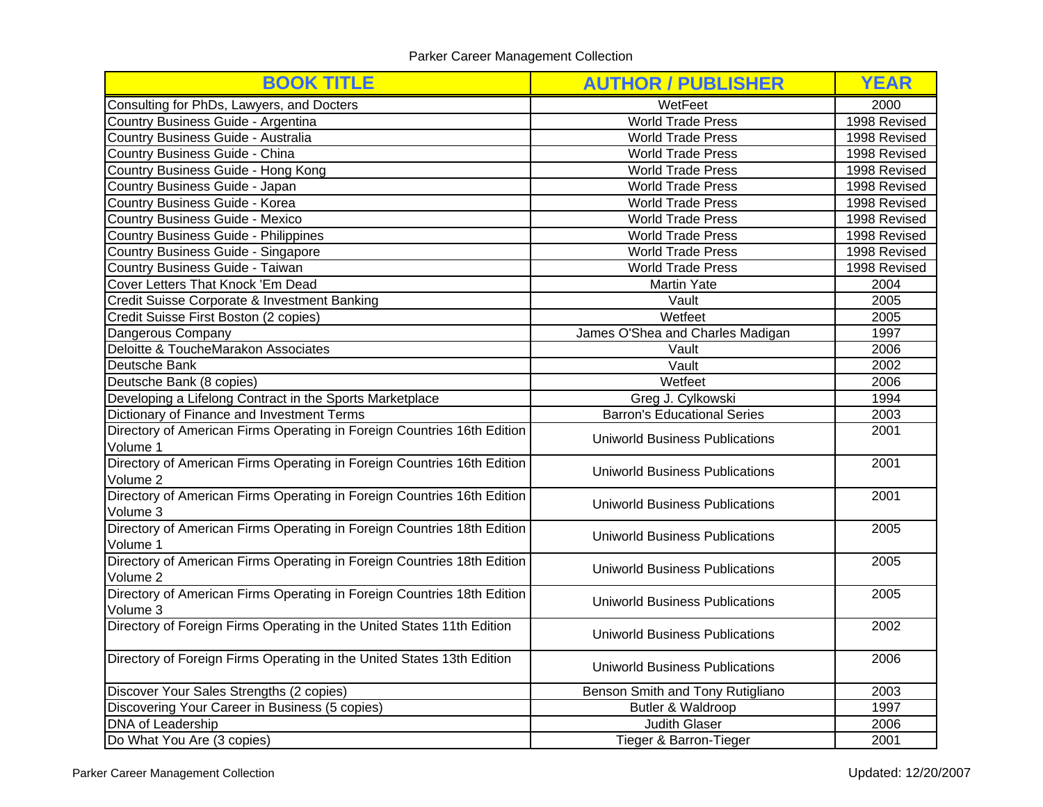| <b>BOOK TITLE</b>                                                                                                | <b>AUTHOR / PUBLISHER</b>                     | <b>YEAR</b>  |  |
|------------------------------------------------------------------------------------------------------------------|-----------------------------------------------|--------------|--|
| Consulting for PhDs, Lawyers, and Docters                                                                        | WetFeet                                       | 2000         |  |
| Country Business Guide - Argentina                                                                               | <b>World Trade Press</b>                      | 1998 Revised |  |
| Country Business Guide - Australia                                                                               | <b>World Trade Press</b>                      | 1998 Revised |  |
| Country Business Guide - China                                                                                   | <b>World Trade Press</b>                      | 1998 Revised |  |
| Country Business Guide - Hong Kong                                                                               | <b>World Trade Press</b>                      | 1998 Revised |  |
| Country Business Guide - Japan                                                                                   | <b>World Trade Press</b>                      | 1998 Revised |  |
| Country Business Guide - Korea                                                                                   | <b>World Trade Press</b>                      | 1998 Revised |  |
| Country Business Guide - Mexico                                                                                  | <b>World Trade Press</b>                      | 1998 Revised |  |
| Country Business Guide - Philippines                                                                             | <b>World Trade Press</b>                      | 1998 Revised |  |
| Country Business Guide - Singapore                                                                               | <b>World Trade Press</b>                      | 1998 Revised |  |
| Country Business Guide - Taiwan                                                                                  | World Trade Press                             | 1998 Revised |  |
| Cover Letters That Knock 'Em Dead                                                                                | <b>Martin Yate</b>                            | 2004         |  |
| Credit Suisse Corporate & Investment Banking                                                                     | Vault                                         | 2005         |  |
| Credit Suisse First Boston (2 copies)                                                                            | Wetfeet                                       | 2005         |  |
| Dangerous Company                                                                                                | James O'Shea and Charles Madigan              | 1997         |  |
| Deloitte & ToucheMarakon Associates                                                                              | Vault                                         | 2006         |  |
| Deutsche Bank                                                                                                    | Vault                                         | 2002         |  |
| Deutsche Bank (8 copies)                                                                                         | Wetfeet                                       |              |  |
| Developing a Lifelong Contract in the Sports Marketplace                                                         | Greg J. Cylkowski                             |              |  |
| Dictionary of Finance and Investment Terms                                                                       | <b>Barron's Educational Series</b>            | 2003         |  |
| Directory of American Firms Operating in Foreign Countries 16th Edition<br><b>Uniworld Business Publications</b> |                                               | 2001         |  |
| Volume 1                                                                                                         |                                               |              |  |
| Directory of American Firms Operating in Foreign Countries 16th Edition<br>Volume 2                              | Uniworld Business Publications                | 2001         |  |
| Directory of American Firms Operating in Foreign Countries 16th Edition<br>Volume 3                              | <b>Uniworld Business Publications</b>         | 2001         |  |
| Directory of American Firms Operating in Foreign Countries 18th Edition<br>Volume 1                              | <b>Uniworld Business Publications</b>         | 2005         |  |
| Directory of American Firms Operating in Foreign Countries 18th Edition<br>Volume 2                              | <b>Uniworld Business Publications</b>         | 2005         |  |
| Directory of American Firms Operating in Foreign Countries 18th Edition<br>Volume 3                              | 2005<br>Uniworld Business Publications        |              |  |
| Directory of Foreign Firms Operating in the United States 11th Edition                                           | Uniworld Business Publications                |              |  |
| Directory of Foreign Firms Operating in the United States 13th Edition                                           | 2006<br><b>Uniworld Business Publications</b> |              |  |
| Discover Your Sales Strengths (2 copies)                                                                         | 2003<br>Benson Smith and Tony Rutigliano      |              |  |
| Discovering Your Career in Business (5 copies)                                                                   | Butler & Waldroop                             | 1997         |  |
| DNA of Leadership                                                                                                | Judith Glaser                                 | 2006         |  |
| Do What You Are (3 copies)                                                                                       | <b>Tieger &amp; Barron-Tieger</b>             | 2001         |  |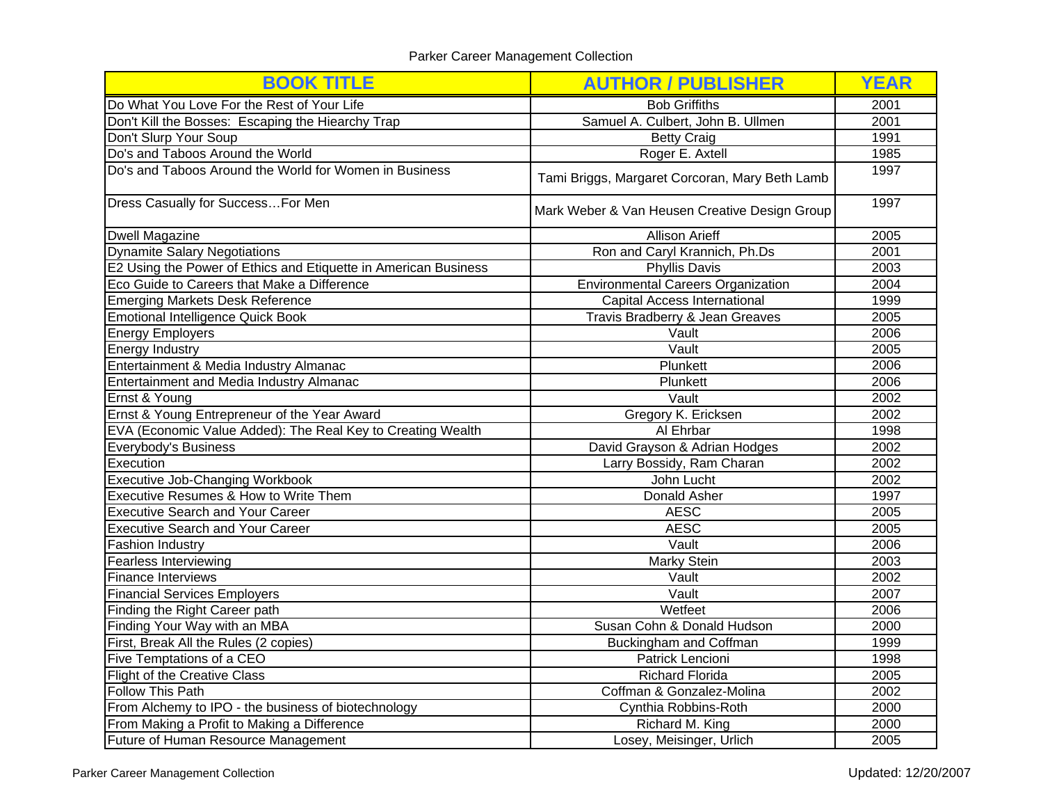| <b>BOOK TITLE</b>                                               | <b>AUTHOR / PUBLISHER</b>                      | <b>YEAR</b> |
|-----------------------------------------------------------------|------------------------------------------------|-------------|
| Do What You Love For the Rest of Your Life                      | <b>Bob Griffiths</b>                           | 2001        |
| Don't Kill the Bosses: Escaping the Hiearchy Trap               | Samuel A. Culbert, John B. Ullmen              | 2001        |
| Don't Slurp Your Soup                                           | <b>Betty Craig</b>                             | 1991        |
| Do's and Taboos Around the World                                | Roger E. Axtell                                | 1985        |
| Do's and Taboos Around the World for Women in Business          | Tami Briggs, Margaret Corcoran, Mary Beth Lamb | 1997        |
| Dress Casually for SuccessFor Men                               | Mark Weber & Van Heusen Creative Design Group  | 1997        |
| <b>Dwell Magazine</b>                                           | <b>Allison Arieff</b>                          | 2005        |
| <b>Dynamite Salary Negotiations</b>                             | Ron and Caryl Krannich, Ph.Ds                  | 2001        |
| E2 Using the Power of Ethics and Etiquette in American Business | <b>Phyllis Davis</b>                           | 2003        |
| Eco Guide to Careers that Make a Difference                     | <b>Environmental Careers Organization</b>      | 2004        |
| <b>Emerging Markets Desk Reference</b>                          | Capital Access International                   | 1999        |
| Emotional Intelligence Quick Book                               | Travis Bradberry & Jean Greaves                | 2005        |
| <b>Energy Employers</b>                                         | Vault                                          | 2006        |
| <b>Energy Industry</b>                                          | Vault                                          | 2005        |
| Entertainment & Media Industry Almanac                          | Plunkett                                       | 2006        |
| Entertainment and Media Industry Almanac                        | Plunkett                                       |             |
| Ernst & Young                                                   | Vault                                          |             |
| Ernst & Young Entrepreneur of the Year Award                    | Gregory K. Ericksen                            |             |
| EVA (Economic Value Added): The Real Key to Creating Wealth     | Al Ehrbar                                      | 1998        |
| Everybody's Business                                            | David Grayson & Adrian Hodges                  | 2002        |
| Execution                                                       | Larry Bossidy, Ram Charan<br>2002              |             |
| <b>Executive Job-Changing Workbook</b>                          | John Lucht                                     |             |
| Executive Resumes & How to Write Them                           | Donald Asher                                   | 1997        |
| <b>Executive Search and Your Career</b>                         | <b>AESC</b>                                    | 2005        |
| <b>Executive Search and Your Career</b>                         | <b>AESC</b>                                    | 2005        |
| <b>Fashion Industry</b>                                         | Vault                                          | 2006        |
| <b>Fearless Interviewing</b>                                    | <b>Marky Stein</b>                             | 2003        |
| <b>Finance Interviews</b>                                       | Vault                                          | 2002        |
| <b>Financial Services Employers</b>                             | Vault                                          | 2007        |
| Finding the Right Career path                                   | Wetfeet                                        | 2006        |
| Finding Your Way with an MBA                                    | Susan Cohn & Donald Hudson                     | 2000        |
| First, Break All the Rules (2 copies)                           | Buckingham and Coffman                         | 1999        |
| Five Temptations of a CEO                                       | Patrick Lencioni                               | 1998        |
| <b>Flight of the Creative Class</b>                             | <b>Richard Florida</b>                         | 2005        |
| Follow This Path                                                | Coffman & Gonzalez-Molina                      | 2002        |
| From Alchemy to IPO - the business of biotechnology             | Cynthia Robbins-Roth                           | 2000        |
| From Making a Profit to Making a Difference                     | Richard M. King                                | 2000        |
| Future of Human Resource Management                             | Losey, Meisinger, Urlich                       | 2005        |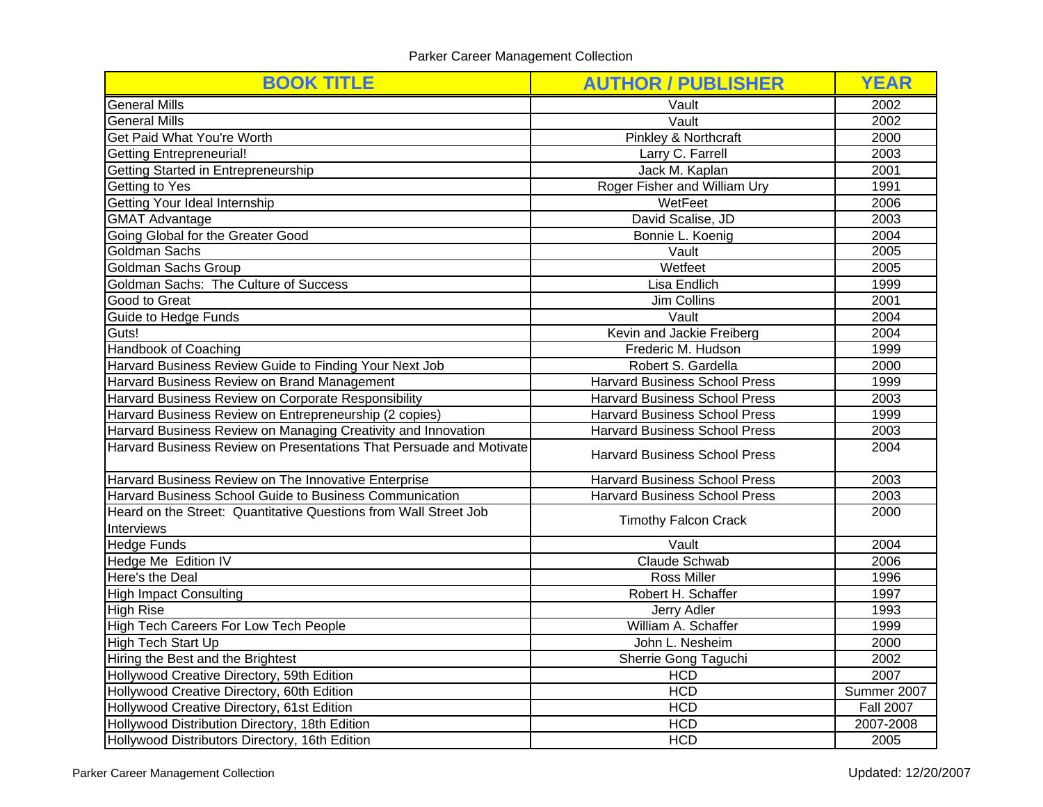| <b>BOOK TITLE</b>                                                   | <b>AUTHOR / PUBLISHER</b>                    | <b>YEAR</b>                   |  |
|---------------------------------------------------------------------|----------------------------------------------|-------------------------------|--|
| <b>General Mills</b>                                                | Vault                                        | 2002                          |  |
| <b>General Mills</b>                                                | Vault                                        | 2002                          |  |
| Get Paid What You're Worth                                          | Pinkley & Northcraft                         | 2000                          |  |
| <b>Getting Entrepreneurial!</b>                                     | Larry C. Farrell                             | 2003                          |  |
| Getting Started in Entrepreneurship                                 | Jack M. Kaplan                               | 2001                          |  |
| Getting to Yes                                                      | Roger Fisher and William Ury                 | 1991                          |  |
| Getting Your Ideal Internship                                       | WetFeet                                      | 2006                          |  |
| <b>GMAT Advantage</b>                                               | David Scalise, JD                            | 2003                          |  |
| Going Global for the Greater Good                                   | Bonnie L. Koenig                             | 2004                          |  |
| <b>Goldman Sachs</b>                                                | Vault                                        | 2005                          |  |
| Goldman Sachs Group                                                 | Wetfeet                                      | 2005                          |  |
| Goldman Sachs: The Culture of Success                               | Lisa Endlich                                 | 1999                          |  |
| Good to Great                                                       | Jim Collins                                  | 2001                          |  |
| Guide to Hedge Funds                                                | Vault                                        | 2004                          |  |
| Guts!                                                               | Kevin and Jackie Freiberg                    | 2004                          |  |
| <b>Handbook of Coaching</b>                                         | Frederic M. Hudson                           |                               |  |
| Harvard Business Review Guide to Finding Your Next Job              | Robert S. Gardella                           | 2000                          |  |
| Harvard Business Review on Brand Management                         | <b>Harvard Business School Press</b>         |                               |  |
| Harvard Business Review on Corporate Responsibility                 | <b>Harvard Business School Press</b>         |                               |  |
| Harvard Business Review on Entrepreneurship (2 copies)              | <b>Harvard Business School Press</b>         |                               |  |
| Harvard Business Review on Managing Creativity and Innovation       | <b>Harvard Business School Press</b>         |                               |  |
| Harvard Business Review on Presentations That Persuade and Motivate | <b>Harvard Business School Press</b>         | 2004                          |  |
| Harvard Business Review on The Innovative Enterprise                | 2003<br><b>Harvard Business School Press</b> |                               |  |
| Harvard Business School Guide to Business Communication             | <b>Harvard Business School Press</b>         | 2003                          |  |
| Heard on the Street: Quantitative Questions from Wall Street Job    | <b>Timothy Falcon Crack</b>                  |                               |  |
| Interviews<br><b>Hedge Funds</b>                                    |                                              | 2004                          |  |
|                                                                     | Vault                                        |                               |  |
| Hedge Me Edition IV<br>Here's the Deal                              | Claude Schwab                                | 2006<br>1996                  |  |
|                                                                     | <b>Ross Miller</b>                           |                               |  |
| <b>High Impact Consulting</b><br><b>High Rise</b>                   | Robert H. Schaffer<br>1997                   |                               |  |
|                                                                     | Jerry Adler<br>1993                          |                               |  |
| High Tech Careers For Low Tech People                               | William A. Schaffer                          | 1999<br>2000                  |  |
| High Tech Start Up                                                  | John L. Nesheim                              |                               |  |
| Hiring the Best and the Brightest                                   | Sherrie Gong Taguchi                         | 2002<br>2007                  |  |
| Hollywood Creative Directory, 59th Edition                          | <b>HCD</b><br><b>HCD</b>                     |                               |  |
| Hollywood Creative Directory, 60th Edition                          | <b>HCD</b>                                   | Summer 2007                   |  |
| Hollywood Creative Directory, 61st Edition                          | <b>HCD</b>                                   | <b>Fall 2007</b><br>2007-2008 |  |
| Hollywood Distribution Directory, 18th Edition                      | <b>HCD</b>                                   | 2005                          |  |
| Hollywood Distributors Directory, 16th Edition                      |                                              |                               |  |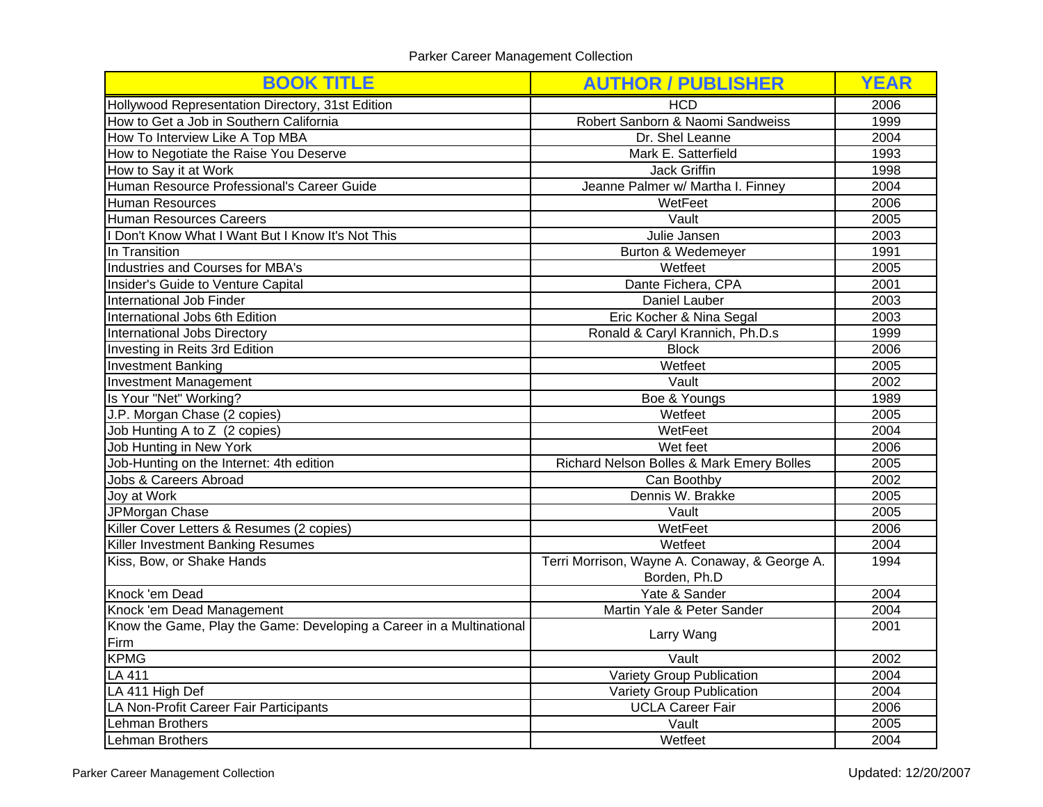| <b>BOOK TITLE</b>                                                    | <b>AUTHOR / PUBLISHER</b>                     | <b>YEAR</b> |
|----------------------------------------------------------------------|-----------------------------------------------|-------------|
| Hollywood Representation Directory, 31st Edition                     | <b>HCD</b>                                    | 2006        |
| How to Get a Job in Southern California                              | Robert Sanborn & Naomi Sandweiss              | 1999        |
| How To Interview Like A Top MBA                                      | Dr. Shel Leanne                               | 2004        |
| How to Negotiate the Raise You Deserve                               | Mark E. Satterfield                           | 1993        |
| How to Say it at Work                                                | <b>Jack Griffin</b>                           | 1998        |
| Human Resource Professional's Career Guide                           | Jeanne Palmer w/ Martha I. Finney             | 2004        |
| <b>Human Resources</b>                                               | WetFeet                                       | 2006        |
| <b>Human Resources Careers</b>                                       | Vault                                         | 2005        |
| Don't Know What I Want But I Know It's Not This                      | Julie Jansen                                  | 2003        |
| In Transition                                                        | Burton & Wedemeyer                            | 1991        |
| Industries and Courses for MBA's                                     | Wetfeet                                       | 2005        |
| Insider's Guide to Venture Capital                                   | Dante Fichera, CPA                            | 2001        |
| International Job Finder                                             | Daniel Lauber                                 | 2003        |
| International Jobs 6th Edition                                       | Eric Kocher & Nina Segal                      | 2003        |
| International Jobs Directory                                         | Ronald & Caryl Krannich, Ph.D.s               | 1999        |
| Investing in Reits 3rd Edition                                       | <b>Block</b>                                  | 2006        |
| <b>Investment Banking</b>                                            | Wetfeet                                       | 2005        |
| <b>Investment Management</b>                                         | Vault                                         | 2002        |
| Is Your "Net" Working?                                               | Boe & Youngs                                  | 1989        |
| J.P. Morgan Chase (2 copies)                                         | Wetfeet                                       | 2005        |
| Job Hunting A to Z (2 copies)                                        | WetFeet                                       |             |
| Job Hunting in New York                                              | Wet feet                                      | 2006        |
| Job-Hunting on the Internet: 4th edition                             | Richard Nelson Bolles & Mark Emery Bolles     |             |
| Jobs & Careers Abroad                                                | Can Boothby                                   |             |
| Joy at Work                                                          | Dennis W. Brakke                              |             |
| JPMorgan Chase                                                       | Vault                                         | 2005        |
| Killer Cover Letters & Resumes (2 copies)                            | WetFeet                                       | 2006        |
| <b>Killer Investment Banking Resumes</b>                             | Wetfeet                                       | 2004        |
| Kiss, Bow, or Shake Hands                                            | Terri Morrison, Wayne A. Conaway, & George A. | 1994        |
|                                                                      | Borden, Ph.D                                  |             |
| Knock 'em Dead                                                       | Yate & Sander<br>2004                         |             |
| Knock 'em Dead Management                                            | Martin Yale & Peter Sander                    | 2004        |
| Know the Game, Play the Game: Developing a Career in a Multinational |                                               | 2001        |
| Firm                                                                 | Larry Wang                                    |             |
| <b>KPMG</b>                                                          | 2002<br>Vault                                 |             |
| <b>LA 411</b>                                                        | Variety Group Publication                     | 2004        |
| LA 411 High Def                                                      | Variety Group Publication<br>2004             |             |
| LA Non-Profit Career Fair Participants                               | <b>UCLA Career Fair</b><br>2006               |             |
| Lehman Brothers                                                      | Vault<br>2005                                 |             |
| Lehman Brothers                                                      | Wetfeet                                       |             |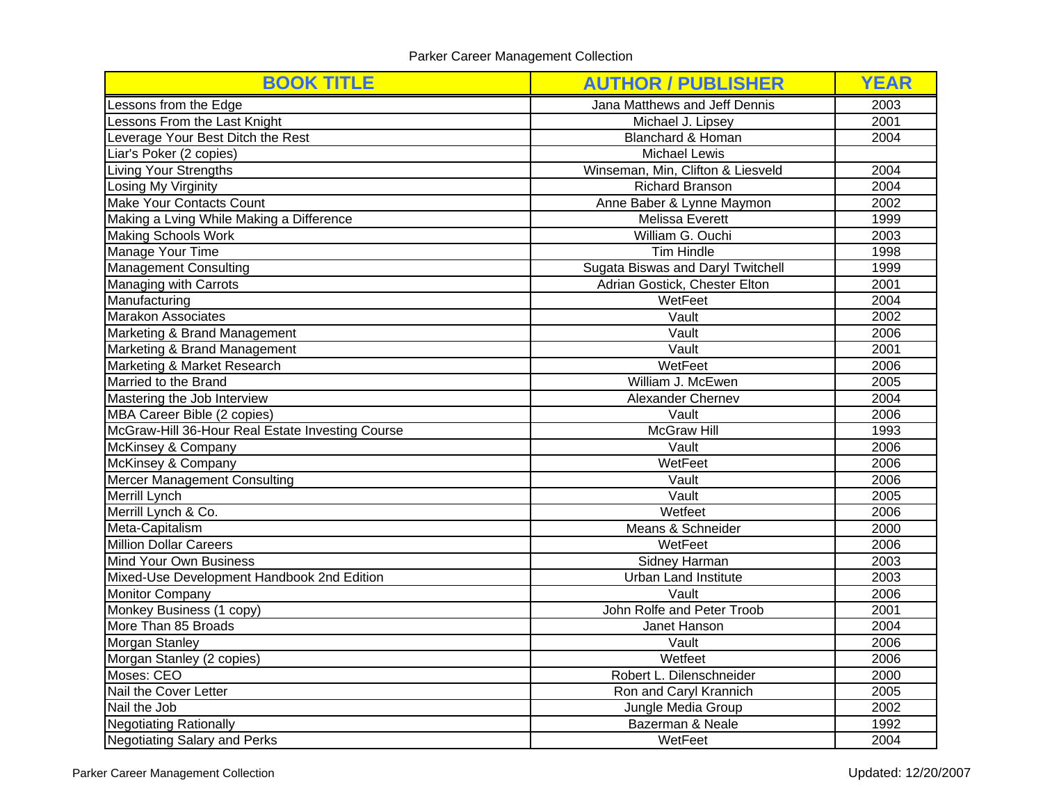| <b>BOOK TITLE</b>                                | <b>AUTHOR / PUBLISHER</b>          | <b>YEAR</b> |
|--------------------------------------------------|------------------------------------|-------------|
| Lessons from the Edge                            | Jana Matthews and Jeff Dennis      | 2003        |
| Lessons From the Last Knight                     | Michael J. Lipsey                  | 2001        |
| Leverage Your Best Ditch the Rest                | <b>Blanchard &amp; Homan</b>       | 2004        |
| Liar's Poker (2 copies)                          | <b>Michael Lewis</b>               |             |
| Living Your Strengths                            | Winseman, Min, Clifton & Liesveld  | 2004        |
| Losing My Virginity                              | <b>Richard Branson</b>             | 2004        |
| Make Your Contacts Count                         | Anne Baber & Lynne Maymon          | 2002        |
| Making a Lving While Making a Difference         | Melissa Everett                    | 1999        |
| <b>Making Schools Work</b>                       | William G. Ouchi                   | 2003        |
| Manage Your Time                                 | Tim Hindle                         | 1998        |
| Management Consulting                            | Sugata Biswas and Daryl Twitchell  | 1999        |
| Managing with Carrots                            | Adrian Gostick, Chester Elton      | 2001        |
| Manufacturing                                    | WetFeet                            | 2004        |
| <b>Marakon Associates</b>                        | Vault                              | 2002        |
| Marketing & Brand Management                     | Vault                              | 2006        |
| Marketing & Brand Management                     | Vault                              | 2001        |
| Marketing & Market Research                      | WetFeet                            | 2006        |
| Married to the Brand                             | William J. McEwen                  | 2005        |
| Mastering the Job Interview                      | Alexander Chernev                  |             |
| MBA Career Bible (2 copies)                      | 2006<br>Vault                      |             |
| McGraw-Hill 36-Hour Real Estate Investing Course | <b>McGraw Hill</b><br>1993         |             |
| McKinsey & Company                               | Vault                              |             |
| McKinsey & Company                               | WetFeet                            | 2006        |
| Mercer Management Consulting                     | Vault                              | 2006        |
| Merrill Lynch                                    | Vault                              | 2005        |
| Merrill Lynch & Co.                              | Wetfeet                            | 2006        |
| Meta-Capitalism                                  | Means & Schneider                  | 2000        |
| <b>Million Dollar Careers</b>                    | WetFeet                            | 2006        |
| Mind Your Own Business                           | Sidney Harman                      | 2003        |
| Mixed-Use Development Handbook 2nd Edition       | <b>Urban Land Institute</b>        | 2003        |
| <b>Monitor Company</b>                           | Vault                              | 2006        |
| Monkey Business (1 copy)                         | John Rolfe and Peter Troob<br>2001 |             |
| More Than 85 Broads                              | Janet Hanson<br>2004               |             |
| Morgan Stanley                                   | Vault<br>2006                      |             |
| Morgan Stanley (2 copies)                        | Wetfeet                            | 2006        |
| Moses: CEO                                       | Robert L. Dilenschneider           | 2000        |
| Nail the Cover Letter                            | Ron and Caryl Krannich             | 2005        |
| Nail the Job                                     | Jungle Media Group                 | 2002        |
| <b>Negotiating Rationally</b>                    | Bazerman & Neale                   | 1992        |
| Negotiating Salary and Perks                     | WetFeet                            | 2004        |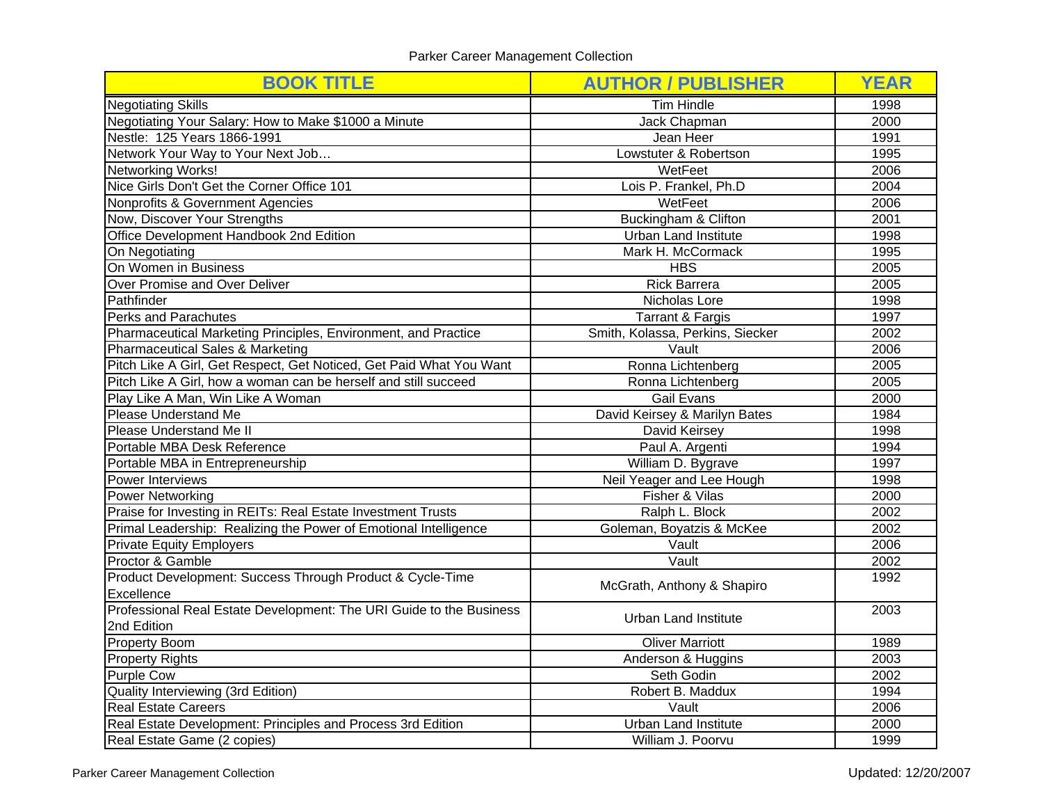| <b>BOOK TITLE</b>                                                                    | <b>AUTHOR / PUBLISHER</b>        | <b>YEAR</b> |
|--------------------------------------------------------------------------------------|----------------------------------|-------------|
| <b>Negotiating Skills</b>                                                            | <b>Tim Hindle</b>                | 1998        |
| Negotiating Your Salary: How to Make \$1000 a Minute                                 | Jack Chapman                     | 2000        |
| Nestle: 125 Years 1866-1991                                                          | Jean Heer                        | 1991        |
| Network Your Way to Your Next Job                                                    | Lowstuter & Robertson            | 1995        |
| <b>Networking Works!</b>                                                             | WetFeet                          | 2006        |
| Nice Girls Don't Get the Corner Office 101                                           | Lois P. Frankel, Ph.D            | 2004        |
| Nonprofits & Government Agencies                                                     | WetFeet                          | 2006        |
| Now, Discover Your Strengths                                                         | Buckingham & Clifton             | 2001        |
| Office Development Handbook 2nd Edition                                              | <b>Urban Land Institute</b>      | 1998        |
| On Negotiating                                                                       | Mark H. McCormack                | 1995        |
| On Women in Business                                                                 | <b>HBS</b>                       | 2005        |
| Over Promise and Over Deliver                                                        | <b>Rick Barrera</b>              | 2005        |
| Pathfinder                                                                           | Nicholas Lore                    | 1998        |
| <b>Perks and Parachutes</b>                                                          | <b>Tarrant &amp; Fargis</b>      | 1997        |
| Pharmaceutical Marketing Principles, Environment, and Practice                       | Smith, Kolassa, Perkins, Siecker | 2002        |
| <b>Pharmaceutical Sales &amp; Marketing</b><br>Vault                                 |                                  | 2006        |
| Pitch Like A Girl, Get Respect, Get Noticed, Get Paid What You Want                  | Ronna Lichtenberg                | 2005        |
| Pitch Like A Girl, how a woman can be herself and still succeed<br>Ronna Lichtenberg |                                  | 2005        |
| Play Like A Man, Win Like A Woman                                                    | <b>Gail Evans</b>                |             |
| Please Understand Me                                                                 | David Keirsey & Marilyn Bates    |             |
| Please Understand Me II                                                              | David Keirsey                    |             |
| Portable MBA Desk Reference                                                          | Paul A. Argenti                  |             |
| Portable MBA in Entrepreneurship                                                     | William D. Bygrave               | 1997        |
| Power Interviews                                                                     | Neil Yeager and Lee Hough        | 1998        |
| <b>Power Networking</b>                                                              | Fisher & Vilas<br>2000           |             |
| Praise for Investing in REITs: Real Estate Investment Trusts                         | Ralph L. Block                   | 2002        |
| Primal Leadership: Realizing the Power of Emotional Intelligence                     | Goleman, Boyatzis & McKee        | 2002        |
| <b>Private Equity Employers</b>                                                      | Vault                            | 2006        |
| Proctor & Gamble                                                                     | Vault                            | 2002        |
| Product Development: Success Through Product & Cycle-Time                            | McGrath, Anthony & Shapiro       | 1992        |
| Excellence                                                                           |                                  |             |
| Professional Real Estate Development: The URI Guide to the Business                  | <b>Urban Land Institute</b>      | 2003        |
| 2nd Edition                                                                          |                                  |             |
| Property Boom                                                                        | <b>Oliver Marriott</b>           | 1989        |
| <b>Property Rights</b>                                                               | Anderson & Huggins               | 2003        |
| <b>Purple Cow</b>                                                                    | Seth Godin                       | 2002        |
| Quality Interviewing (3rd Edition)                                                   | Robert B. Maddux                 | 1994        |
| <b>Real Estate Careers</b>                                                           | Vault                            | 2006        |
| Real Estate Development: Principles and Process 3rd Edition                          | <b>Urban Land Institute</b>      | 2000        |
| Real Estate Game (2 copies)                                                          | William J. Poorvu                | 1999        |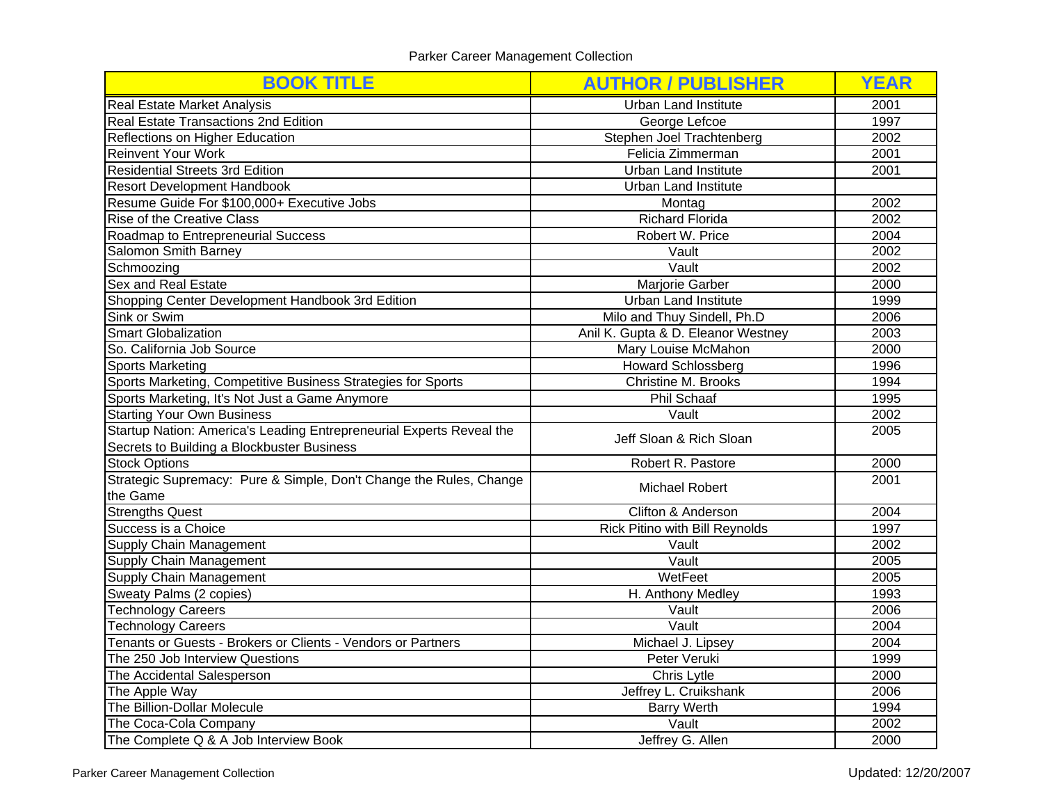| <b>BOOK TITLE</b>                                                                               | <b>AUTHOR / PUBLISHER</b>             | <b>YEAR</b> |
|-------------------------------------------------------------------------------------------------|---------------------------------------|-------------|
| <b>Real Estate Market Analysis</b>                                                              | <b>Urban Land Institute</b>           | 2001        |
| <b>Real Estate Transactions 2nd Edition</b>                                                     | George Lefcoe                         | 1997        |
| Reflections on Higher Education                                                                 | Stephen Joel Trachtenberg             | 2002        |
| <b>Reinvent Your Work</b>                                                                       | Felicia Zimmerman                     | 2001        |
| <b>Residential Streets 3rd Edition</b>                                                          | <b>Urban Land Institute</b>           | 2001        |
| <b>Resort Development Handbook</b>                                                              | <b>Urban Land Institute</b>           |             |
| Resume Guide For \$100,000+ Executive Jobs                                                      | Montag                                | 2002        |
| <b>Rise of the Creative Class</b>                                                               | <b>Richard Florida</b>                | 2002        |
| Roadmap to Entrepreneurial Success                                                              | Robert W. Price                       | 2004        |
| Salomon Smith Barney                                                                            | Vault                                 | 2002        |
| Schmoozing                                                                                      | Vault                                 | 2002        |
| Sex and Real Estate                                                                             | Marjorie Garber                       | 2000        |
| Shopping Center Development Handbook 3rd Edition                                                | <b>Urban Land Institute</b>           | 1999        |
| Sink or Swim                                                                                    | Milo and Thuy Sindell, Ph.D           | 2006        |
| <b>Smart Globalization</b>                                                                      | Anil K. Gupta & D. Eleanor Westney    | 2003        |
| So. California Job Source                                                                       | Mary Louise McMahon                   | 2000        |
| <b>Sports Marketing</b>                                                                         | <b>Howard Schlossberg</b>             | 1996        |
| Sports Marketing, Competitive Business Strategies for Sports                                    | <b>Christine M. Brooks</b>            | 1994        |
| Sports Marketing, It's Not Just a Game Anymore                                                  | Phil Schaaf                           |             |
| <b>Starting Your Own Business</b>                                                               | Vault                                 | 2002        |
| Startup Nation: America's Leading Entrepreneurial Experts Reveal the<br>Jeff Sloan & Rich Sloan |                                       | 2005        |
| Secrets to Building a Blockbuster Business                                                      |                                       |             |
| <b>Stock Options</b>                                                                            | Robert R. Pastore                     | 2000        |
| Strategic Supremacy: Pure & Simple, Don't Change the Rules, Change                              |                                       | 2001        |
| the Game                                                                                        | <b>Michael Robert</b>                 |             |
| <b>Strengths Quest</b>                                                                          | Clifton & Anderson                    | 2004        |
| Success is a Choice                                                                             | <b>Rick Pitino with Bill Reynolds</b> | 1997        |
| Supply Chain Management                                                                         | Vault                                 | 2002        |
| <b>Supply Chain Management</b>                                                                  | Vault                                 | 2005        |
| Supply Chain Management                                                                         | WetFeet                               | 2005        |
| Sweaty Palms (2 copies)                                                                         | H. Anthony Medley                     | 1993        |
| <b>Technology Careers</b>                                                                       | Vault                                 |             |
| <b>Technology Careers</b>                                                                       | Vault                                 |             |
| Tenants or Guests - Brokers or Clients - Vendors or Partners                                    | Michael J. Lipsey<br>2004             |             |
| The 250 Job Interview Questions                                                                 | Peter Veruki                          | 1999        |
| The Accidental Salesperson                                                                      | Chris Lytle                           | 2000        |
| The Apple Way                                                                                   | Jeffrey L. Cruikshank                 | 2006        |
| The Billion-Dollar Molecule                                                                     | <b>Barry Werth</b>                    | 1994        |
| The Coca-Cola Company                                                                           | 2002<br>Vault                         |             |
| The Complete Q & A Job Interview Book                                                           | Jeffrey G. Allen                      | 2000        |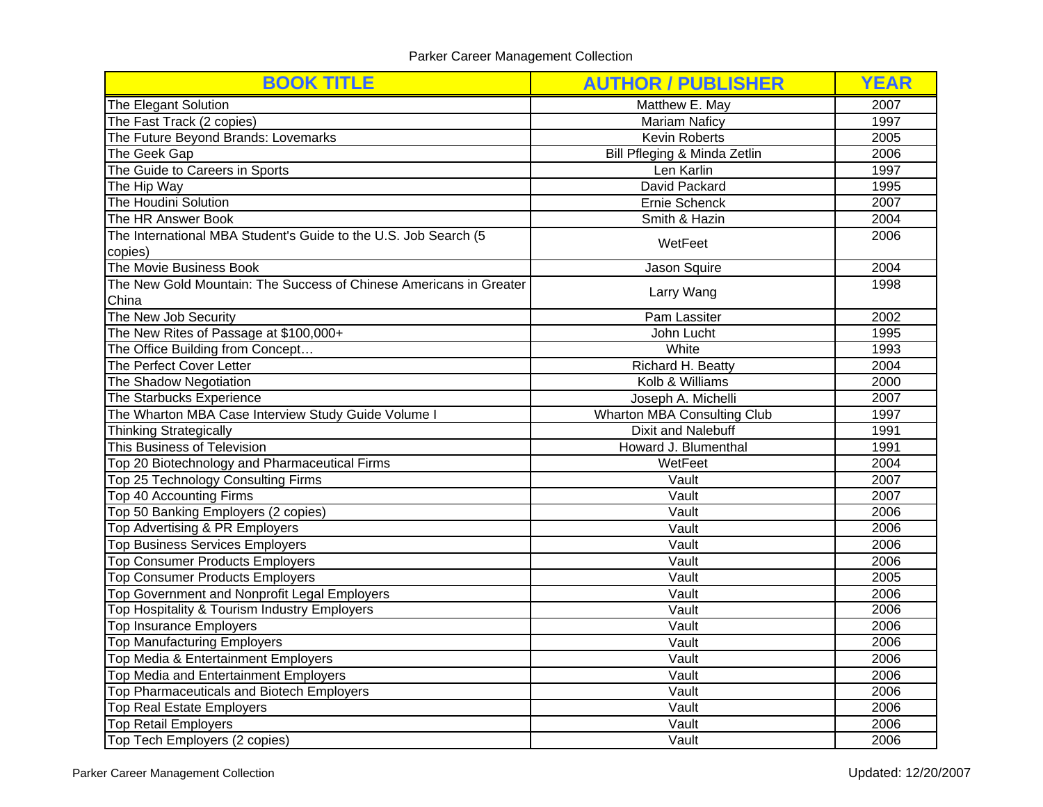| <b>BOOK TITLE</b>                                                                         | <b>AUTHOR / PUBLISHER</b>    | <b>YEAR</b> |
|-------------------------------------------------------------------------------------------|------------------------------|-------------|
| The Elegant Solution                                                                      | Matthew E. May               | 2007        |
| The Fast Track (2 copies)                                                                 | <b>Mariam Naficy</b>         | 1997        |
| The Future Beyond Brands: Lovemarks                                                       | <b>Kevin Roberts</b>         | 2005        |
| The Geek Gap                                                                              | Bill Pfleging & Minda Zetlin | 2006        |
| The Guide to Careers in Sports                                                            | Len Karlin                   | 1997        |
| The Hip Way                                                                               | David Packard                | 1995        |
| The Houdini Solution                                                                      | Ernie Schenck                | 2007        |
| The HR Answer Book                                                                        | Smith & Hazin                | 2004        |
| The International MBA Student's Guide to the U.S. Job Search (5                           | WetFeet                      | 2006        |
| copies)                                                                                   |                              |             |
| The Movie Business Book                                                                   | Jason Squire                 | 2004        |
| The New Gold Mountain: The Success of Chinese Americans in Greater                        |                              | 1998        |
| China                                                                                     | Larry Wang                   |             |
| The New Job Security                                                                      | Pam Lassiter                 | 2002        |
| The New Rites of Passage at \$100,000+                                                    | John Lucht                   | 1995        |
| The Office Building from Concept                                                          | White                        | 1993        |
| The Perfect Cover Letter                                                                  | Richard H. Beatty            | 2004        |
| The Shadow Negotiation                                                                    | Kolb & Williams              | 2000        |
| The Starbucks Experience                                                                  | Joseph A. Michelli           | 2007        |
| The Wharton MBA Case Interview Study Guide Volume I<br><b>Wharton MBA Consulting Club</b> |                              | 1997        |
| Thinking Strategically                                                                    | <b>Dixit and Nalebuff</b>    | 1991        |
| This Business of Television                                                               | Howard J. Blumenthal         | 1991        |
| Top 20 Biotechnology and Pharmaceutical Firms                                             | WetFeet                      | 2004        |
| Top 25 Technology Consulting Firms                                                        | Vault                        | 2007        |
| Top 40 Accounting Firms                                                                   | Vault                        | 2007        |
| Top 50 Banking Employers (2 copies)                                                       | Vault                        | 2006        |
| Top Advertising & PR Employers                                                            | Vault                        | 2006        |
| <b>Top Business Services Employers</b>                                                    | Vault                        | 2006        |
| <b>Top Consumer Products Employers</b>                                                    | $\overline{\mathsf{V}}$ ault | 2006        |
| <b>Top Consumer Products Employers</b>                                                    | Vault                        | 2005        |
| Top Government and Nonprofit Legal Employers                                              | Vault                        | 2006        |
| Top Hospitality & Tourism Industry Employers                                              | Vault                        | 2006        |
| <b>Top Insurance Employers</b>                                                            | Vault                        | 2006        |
| <b>Top Manufacturing Employers</b>                                                        | Vault                        | 2006        |
| Top Media & Entertainment Employers                                                       | $\overline{\mathsf{V}}$ ault | 2006        |
| Top Media and Entertainment Employers                                                     | $\overline{\mathsf{V}}$ ault | 2006        |
| Top Pharmaceuticals and Biotech Employers                                                 | Vault                        | 2006        |
| Top Real Estate Employers                                                                 | Vault                        | 2006        |
| <b>Top Retail Employers</b>                                                               | Vault                        | 2006        |
| Top Tech Employers (2 copies)                                                             | Vault                        | 2006        |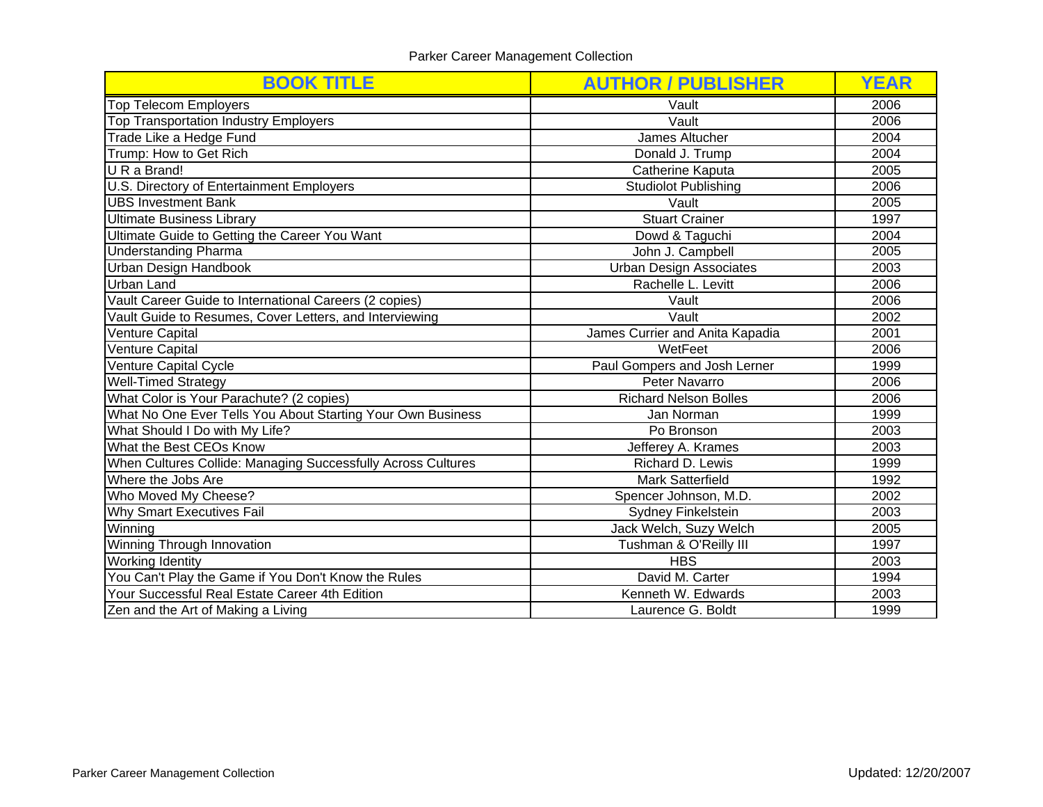| <b>BOOK TITLE</b>                                            | <b>AUTHOR / PUBLISHER</b>       | <b>YEAR</b>  |
|--------------------------------------------------------------|---------------------------------|--------------|
| <b>Top Telecom Employers</b>                                 | Vault                           | 2006         |
| <b>Top Transportation Industry Employers</b>                 | Vault                           | 2006         |
| Trade Like a Hedge Fund                                      | James Altucher                  | 2004         |
| Trump: How to Get Rich                                       | Donald J. Trump                 | 2004         |
| U R a Brand!                                                 | Catherine Kaputa                | 2005         |
| U.S. Directory of Entertainment Employers                    | <b>Studiolot Publishing</b>     | 2006         |
| <b>UBS Investment Bank</b>                                   | Vault                           | 2005         |
| <b>Ultimate Business Library</b>                             | <b>Stuart Crainer</b>           | 1997         |
| Ultimate Guide to Getting the Career You Want                | Dowd & Taguchi                  | 2004         |
| <b>Understanding Pharma</b>                                  | John J. Campbell                | 2005         |
| <b>Urban Design Handbook</b>                                 | <b>Urban Design Associates</b>  | 2003         |
| <b>Urban Land</b>                                            | Rachelle L. Levitt              |              |
| Vault Career Guide to International Careers (2 copies)       | Vault                           | 2006         |
| Vault Guide to Resumes, Cover Letters, and Interviewing      | Vault                           | 2002         |
| <b>Venture Capital</b>                                       | James Currier and Anita Kapadia |              |
| <b>Venture Capital</b>                                       | WetFeet                         |              |
| Venture Capital Cycle                                        | Paul Gompers and Josh Lerner    |              |
| <b>Well-Timed Strategy</b>                                   | Peter Navarro                   |              |
| What Color is Your Parachute? (2 copies)                     | <b>Richard Nelson Bolles</b>    |              |
| What No One Ever Tells You About Starting Your Own Business  | Jan Norman                      |              |
| What Should I Do with My Life?                               | Po Bronson                      | 2003         |
| What the Best CEOs Know                                      | Jefferey A. Krames              | 2003         |
| When Cultures Collide: Managing Successfully Across Cultures | Richard D. Lewis                | 1999<br>1992 |
| Where the Jobs Are                                           | <b>Mark Satterfield</b>         |              |
| Who Moved My Cheese?                                         | Spencer Johnson, M.D.           |              |
| Why Smart Executives Fail                                    | Sydney Finkelstein              |              |
| Winning                                                      | Jack Welch, Suzy Welch<br>2005  |              |
| <b>Winning Through Innovation</b>                            | Tushman & O'Reilly III<br>1997  |              |
| <b>Working Identity</b>                                      | <b>HBS</b>                      | 2003         |
| You Can't Play the Game if You Don't Know the Rules          | David M. Carter                 | 1994         |
| Your Successful Real Estate Career 4th Edition               | Kenneth W. Edwards              | 2003         |
| Zen and the Art of Making a Living                           | Laurence G. Boldt               | 1999         |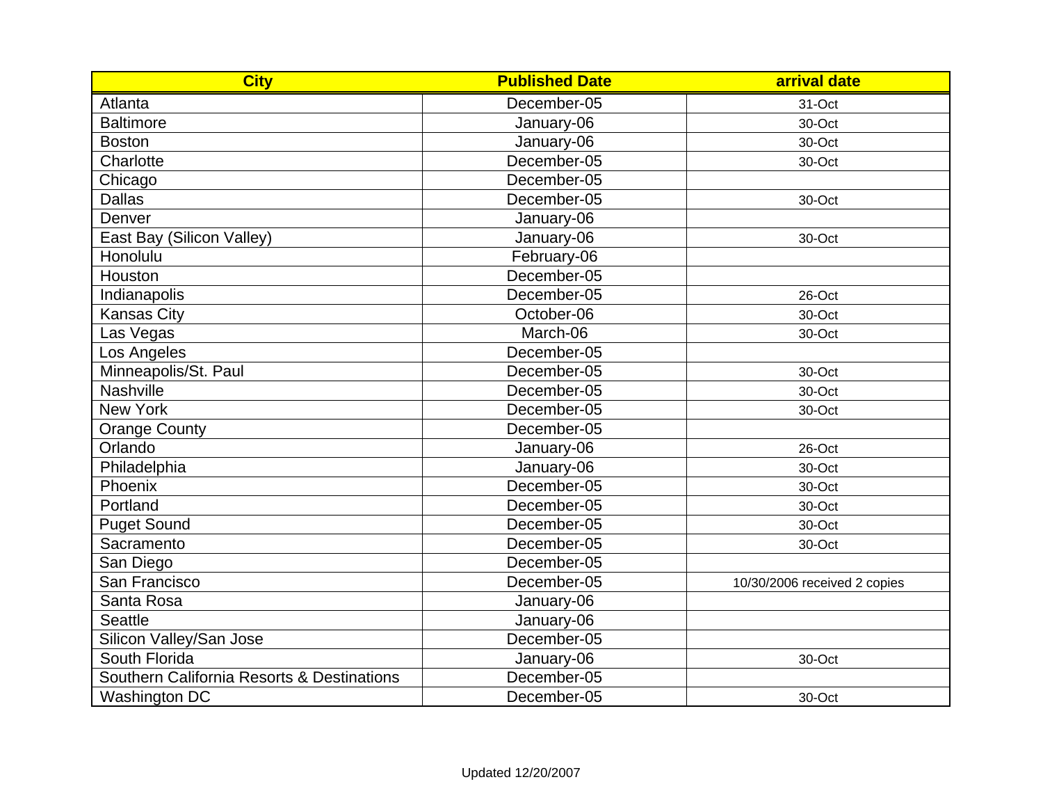| <b>City</b>                                | <b>Published Date</b> | arrival date                 |
|--------------------------------------------|-----------------------|------------------------------|
| Atlanta                                    | December-05           | 31-Oct                       |
| <b>Baltimore</b>                           | January-06            | 30-Oct                       |
| <b>Boston</b>                              | January-06            | 30-Oct                       |
| Charlotte                                  | December-05           | 30-Oct                       |
| Chicago                                    | December-05           |                              |
| <b>Dallas</b>                              | December-05           | 30-Oct                       |
| Denver                                     | January-06            |                              |
| East Bay (Silicon Valley)                  | January-06            | 30-Oct                       |
| Honolulu                                   | February-06           |                              |
| Houston                                    | December-05           |                              |
| Indianapolis                               | December-05           | 26-Oct                       |
| <b>Kansas City</b>                         | October-06            | 30-Oct                       |
| Las Vegas                                  | March-06              | 30-Oct                       |
| Los Angeles                                | December-05           |                              |
| Minneapolis/St. Paul                       | December-05           | 30-Oct                       |
| Nashville                                  | December-05           | 30-Oct                       |
| New York                                   | December-05           | 30-Oct                       |
| <b>Orange County</b>                       | December-05           |                              |
| Orlando                                    | January-06            | 26-Oct                       |
| Philadelphia                               | January-06            | 30-Oct                       |
| Phoenix                                    | December-05           | 30-Oct                       |
| Portland                                   | December-05           | 30-Oct                       |
| <b>Puget Sound</b>                         | December-05           | 30-Oct                       |
| Sacramento                                 | December-05           | 30-Oct                       |
| San Diego                                  | December-05           |                              |
| San Francisco                              | December-05           | 10/30/2006 received 2 copies |
| Santa Rosa                                 | January-06            |                              |
| <b>Seattle</b>                             | January-06            |                              |
| Silicon Valley/San Jose                    | December-05           |                              |
| South Florida                              | January-06            | 30-Oct                       |
| Southern California Resorts & Destinations | December-05           |                              |
| Washington DC                              | December-05           | 30-Oct                       |